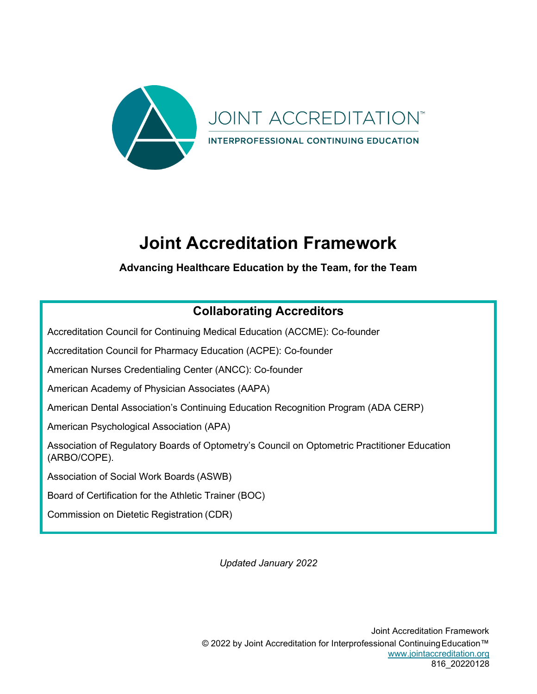

# **Joint Accreditation Framework**

#### **Advancing Healthcare Education by the Team, for the Team**

### **Collaborating Accreditors**

Accreditation Council for Continuing Medical Education (ACCME): Co-founder

Accreditation Council for Pharmacy Education (ACPE): Co-founder

American Nurses Credentialing Center (ANCC): Co-founder

American Academy of Physician Associates (AAPA)

American Dental Association's Continuing Education Recognition Program (ADA CERP)

American Psychological Association (APA)

Association of Regulatory Boards of Optometry's Council on Optometric Practitioner Education (ARBO/COPE).

Association of Social Work Boards (ASWB)

Board of Certification for the Athletic Trainer (BOC)

Commission on Dietetic Registration (CDR)

*Updated January 2022*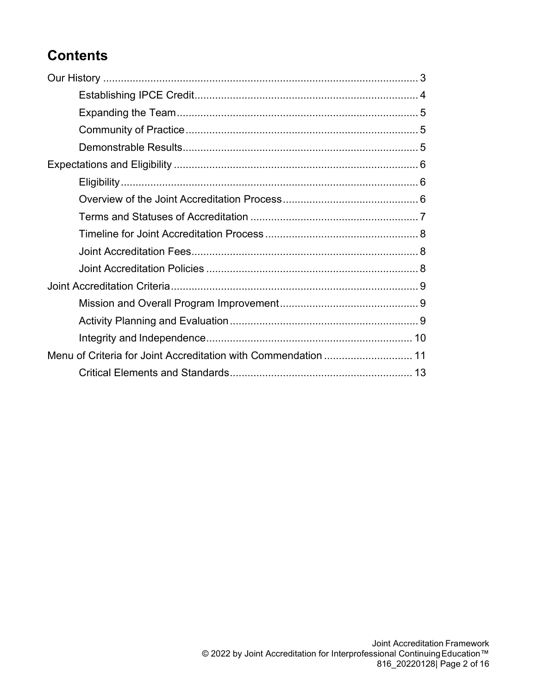## **Contents**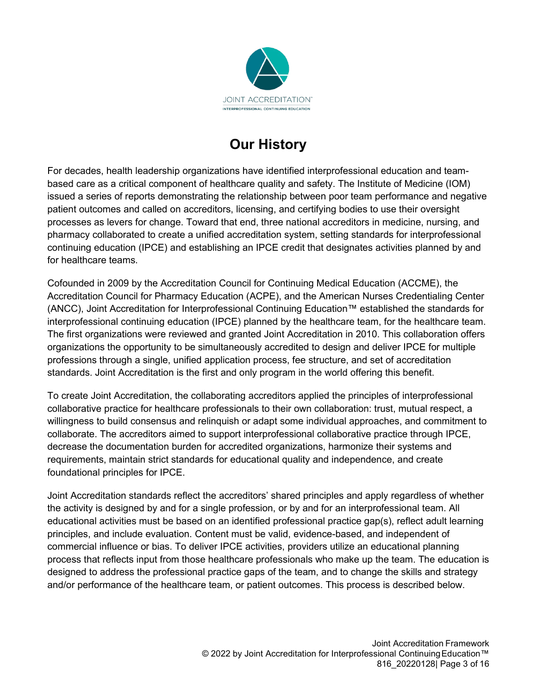

## **Our History**

<span id="page-2-0"></span>For decades, health leadership organizations have identified interprofessional education and teambased care as a critical component of healthcare quality and safety. The Institute of Medicine (IOM) issued a series of reports demonstrating the relationship between poor team performance and negative patient outcomes and called on accreditors, licensing, and certifying bodies to use their oversight processes as levers for change. Toward that end, three national accreditors in medicine, nursing, and pharmacy collaborated to create a unified accreditation system, setting standards for interprofessional continuing education (IPCE) and establishing an IPCE credit that designates activities planned by and for healthcare teams.

Cofounded in 2009 by the Accreditation Council for Continuing Medical Education (ACCME), the Accreditation Council for Pharmacy Education (ACPE), and the American Nurses Credentialing Center (ANCC), Joint Accreditation for Interprofessional Continuing Education™ established the standards for interprofessional continuing education (IPCE) planned by the healthcare team, for the healthcare team. The first organizations were reviewed and granted Joint Accreditation in 2010. This collaboration offers organizations the opportunity to be simultaneously accredited to design and deliver IPCE for multiple professions through a single, unified application process, fee structure, and set of accreditation standards. Joint Accreditation is the first and only program in the world offering this benefit.

To create Joint Accreditation, the collaborating accreditors applied the principles of interprofessional collaborative practice for healthcare professionals to their own collaboration: trust, mutual respect, a willingness to build consensus and relinquish or adapt some individual approaches, and commitment to collaborate. The accreditors aimed to support interprofessional collaborative practice through IPCE, decrease the documentation burden for accredited organizations, harmonize their systems and requirements, maintain strict standards for educational quality and independence, and create foundational principles for IPCE.

Joint Accreditation standards reflect the accreditors' shared principles and apply regardless of whether the activity is designed by and for a single profession, or by and for an interprofessional team. All educational activities must be based on an identified professional practice gap(s), reflect adult learning principles, and include evaluation. Content must be valid, evidence-based, and independent of commercial influence or bias. To deliver IPCE activities, providers utilize an educational planning process that reflects input from those healthcare professionals who make up the team. The education is designed to address the professional practice gaps of the team, and to change the skills and strategy and/or performance of the healthcare team, or patient outcomes. This process is described below.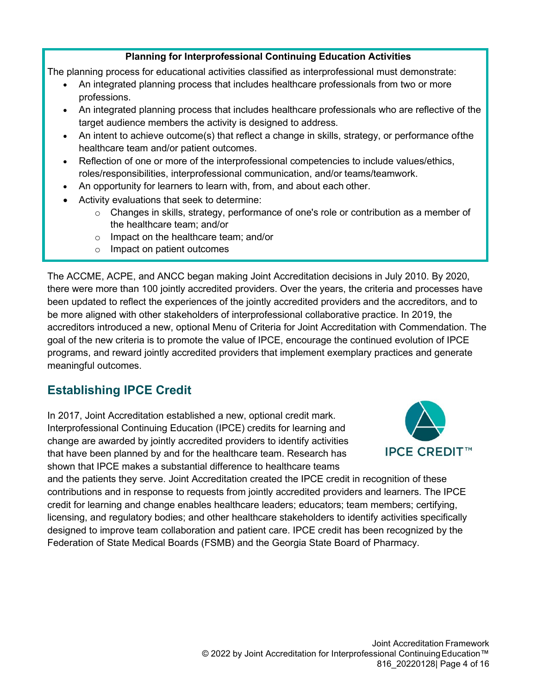#### **Planning for Interprofessional Continuing Education Activities**

The planning process for educational activities classified as interprofessional must demonstrate:

- An integrated planning process that includes healthcare professionals from two or more professions.
- An integrated planning process that includes healthcare professionals who are reflective of the target audience members the activity is designed to address.
- An intent to achieve outcome(s) that reflect a change in skills, strategy, or performance ofthe healthcare team and/or patient outcomes.
- Reflection of one or more of the interprofessional competencies to include values/ethics, roles/responsibilities, interprofessional communication, and/or teams/teamwork.
- An opportunity for learners to learn with, from, and about each other.
- Activity evaluations that seek to determine:
	- $\circ$  Changes in skills, strategy, performance of one's role or contribution as a member of the healthcare team; and/or
	- o Impact on the healthcare team; and/or
	- o Impact on patient outcomes

<span id="page-3-1"></span>The ACCME, ACPE, and ANCC began making Joint Accreditation decisions in July 2010. By 2020, there were more than 100 jointly accredited providers. Over the years, the criteria and processes have been updated to reflect the experiences of the jointly accredited providers and the accreditors, and to be more aligned with other stakeholders of interprofessional collaborative practice. In 2019, the accreditors introduced a new, optional Menu of Criteria for Joint Accreditation with Commendation. The goal of the new criteria is to promote the value of IPCE, encourage the continued evolution of IPCE programs, and reward jointly accredited providers that implement exemplary practices and generate meaningful outcomes.

#### <span id="page-3-0"></span>**Establishing IPCE Credit**

In 2017, Joint Accreditation established a new, optional credit mark. Interprofessional Continuing Education (IPCE) credits for learning and change are awarded by jointly accredited providers to identify activities that have been planned by and for the healthcare team. Research has shown that IPCE makes a substantial difference to healthcare teams



and the patients they serve. Joint Accreditation created the IPCE credit in recognition of these contributions and in response to requests from jointly accredited providers and learners. The IPCE credit for learning and change enables healthcare leaders; educators; team members; certifying, licensing, and regulatory bodies; and other healthcare stakeholders to identify activities specifically designed to improve team collaboration and patient care. IPCE credit has been recognized by the Federation of State Medical Boards (FSMB) and the Georgia State Board of Pharmacy.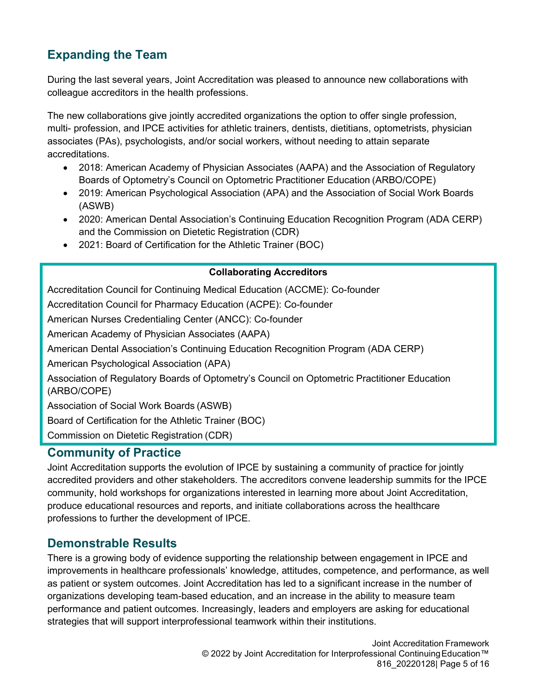### **Expanding the Team**

During the last several years, Joint Accreditation was pleased to announce new collaborations with colleague accreditors in the health professions.

The new collaborations give jointly accredited organizations the option to offer single profession, multi- profession, and IPCE activities for athletic trainers, dentists, dietitians, optometrists, physician associates (PAs), psychologists, and/or social workers, without needing to attain separate accreditations.

- 2018: American Academy of Physician Associates (AAPA) and the Association of Regulatory Boards of Optometry's Council on Optometric Practitioner Education (ARBO/COPE)
- 2019: American Psychological Association (APA) and the Association of Social Work Boards (ASWB)
- 2020: American Dental Association's Continuing Education Recognition Program (ADA CERP) and the Commission on Dietetic Registration (CDR)
- 2021: Board of Certification for the Athletic Trainer (BOC)

#### **Collaborating Accreditors**

Accreditation Council for Continuing Medical Education (ACCME): Co-founder

Accreditation Council for Pharmacy Education (ACPE): Co-founder

American Nurses Credentialing Center (ANCC): Co-founder

American Academy of Physician Associates (AAPA)

American Dental Association's Continuing Education Recognition Program (ADA CERP)

American Psychological Association (APA)

Association of Regulatory Boards of Optometry's Council on Optometric Practitioner Education (ARBO/COPE)

Association of Social Work Boards (ASWB)

Board of Certification for the Athletic Trainer (BOC)

Commission on Dietetic Registration (CDR)

#### <span id="page-4-0"></span>**Community of Practice**

Joint Accreditation supports the evolution of IPCE by sustaining a community of practice for jointly accredited providers and other stakeholders. The accreditors convene leadership summits for the IPCE community, hold workshops for organizations interested in learning more about Joint Accreditation, produce educational resources and reports, and initiate collaborations across the healthcare professions to further the development of IPCE.

#### <span id="page-4-1"></span>**Demonstrable Results**

There is a growing body of evidence supporting the relationship between engagement in IPCE and improvements in healthcare professionals' knowledge, attitudes, competence, and performance, as well as patient or system outcomes. Joint Accreditation has led to a significant increase in the number of organizations developing team-based education, and an increase in the ability to measure team performance and patient outcomes. Increasingly, leaders and employers are asking for educational strategies that will support interprofessional teamwork within their institutions.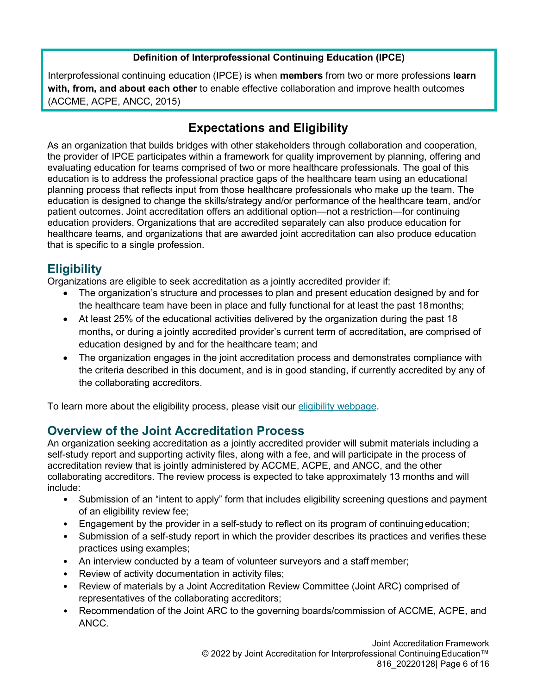#### **Definition of Interprofessional Continuing Education (IPCE)**

Interprofessional continuing education (IPCE) is when **members** from two or more professions **learn with, from, and about each other** to enable effective collaboration and improve health outcomes (ACCME, ACPE, ANCC, 2015)

#### **Expectations and Eligibility**

<span id="page-5-0"></span>As an organization that builds bridges with other stakeholders through collaboration and cooperation, the provider of IPCE participates within a framework for quality improvement by planning, offering and evaluating education for teams comprised of two or more healthcare professionals. The goal of this education is to address the professional practice gaps of the healthcare team using an educational planning process that reflects input from those healthcare professionals who make up the team. The education is designed to change the skills/strategy and/or performance of the healthcare team, and/or patient outcomes. Joint accreditation offers an additional option—not a restriction—for continuing education providers. Organizations that are accredited separately can also produce education for healthcare teams, and organizations that are awarded joint accreditation can also produce education that is specific to a single profession.

#### <span id="page-5-1"></span>**Eligibility**

Organizations are eligible to seek accreditation as a jointly accredited provider if:

- The organization's structure and processes to plan and present education designed by and for the healthcare team have been in place and fully functional for at least the past 18months;
- At least 25% of the educational activities delivered by the organization during the past 18 months**,** or during a jointly accredited provider's current term of accreditation**,** are comprised of education designed by and for the healthcare team; and
- The organization engages in the joint accreditation process and demonstrates compliance with the criteria described in this document, and is in good standing, if currently accredited by any of the collaborating accreditors.

To learn more about the eligibility process, please visit our [eligibility webpage.](https://www.jointaccreditation.org/eligibility)

#### <span id="page-5-2"></span>**Overview of the Joint Accreditation Process**

An organization seeking accreditation as a jointly accredited provider will submit materials including a self-study report and supporting activity files, along with a fee, and will participate in the process of accreditation review that is jointly administered by ACCME, ACPE, and ANCC, and the other collaborating accreditors. The review process is expected to take approximately 13 months and will include:

- Submission of an "intent to apply" form that includes eligibility screening questions and payment of an eligibility review fee;
- Engagement by the provider in a self-study to reflect on its program of continuing education;
- Submission of a self-study report in which the provider describes its practices and verifies these practices using examples;
- An interview conducted by a team of volunteer surveyors and a staff member;
- Review of activity documentation in activity files;
- Review of materials by a Joint Accreditation Review Committee (Joint ARC) comprised of representatives of the collaborating accreditors;
- Recommendation of the Joint ARC to the governing boards/commission of ACCME, ACPE, and ANCC.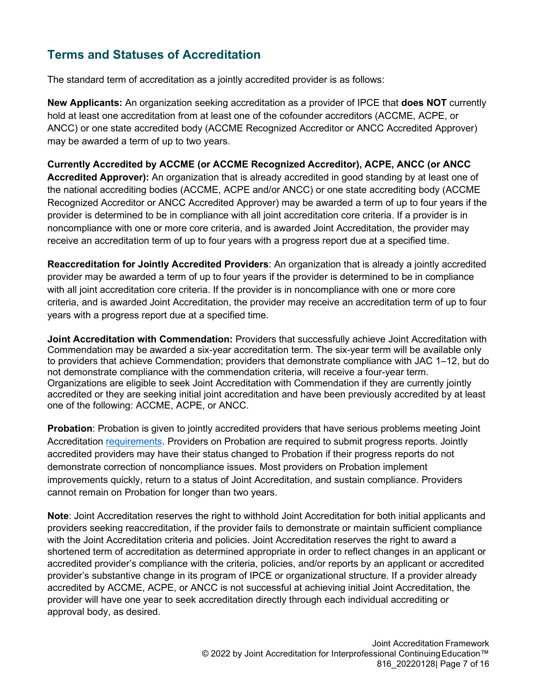### <span id="page-6-0"></span>**Terms and Statuses of Accreditation**

The standard term of accreditation as a jointly accredited provider is as follows:

**New Applicants:** An organization seeking accreditation as a provider of IPCE that **does NOT** currently hold at least one accreditation from at least one of the cofounder accreditors (ACCME, ACPE, or ANCC) or one state accredited body (ACCME Recognized Accreditor or ANCC Accredited Approver) may be awarded a term of up to two years.

**Currently Accredited by ACCME (or ACCME Recognized Accreditor), ACPE, ANCC (or ANCC Accredited Approver):** An organization that is already accredited in good standing by at least one of the national accrediting bodies (ACCME, ACPE and/or ANCC) or one state accrediting body (ACCME Recognized Accreditor or ANCC Accredited Approver) may be awarded a term of up to four years if the provider is determined to be in compliance with all joint accreditation core criteria. If a provider is in noncompliance with one or more core criteria, and is awarded Joint Accreditation, the provider may receive an accreditation term of up to four years with a progress report due at a specified time.

**Reaccreditation for Jointly Accredited Providers**: An organization that is already a jointly accredited provider may be awarded a term of up to four years if the provider is determined to be in compliance with all joint accreditation core criteria. If the provider is in noncompliance with one or more core criteria, and is awarded Joint Accreditation, the provider may receive an accreditation term of up to four years with a progress report due at a specified time.

**Joint Accreditation with Commendation:** Providers that successfully achieve Joint Accreditation with Commendation may be awarded a six-year accreditation term. The six-year term will be available only to providers that achieve Commendation; providers that demonstrate compliance with JAC 1–12, but do not demonstrate compliance with the commendation criteria, will receive a four-year term. Organizations are eligible to seek Joint Accreditation with Commendation if they are currently jointly accredited or they are seeking initial joint accreditation and have been previously accredited by at least one of the following: ACCME, ACPE, or ANCC.

**Probation**: Probation is given to jointly accredited providers that have serious problems meeting Joint Accreditation [requirements.](https://www.jointaccreditation.org/requirements) Providers on Probation are required to submit progress reports. Jointly accredited providers may have their status changed to Probation if their progress reports do not demonstrate correction of noncompliance issues. Most providers on Probation implement improvements quickly, return to a status of Joint Accreditation, and sustain compliance. Providers cannot remain on Probation for longer than two years.

**Note**: Joint Accreditation reserves the right to withhold Joint Accreditation for both initial applicants and providers seeking reaccreditation, if the provider fails to demonstrate or maintain sufficient compliance with the Joint Accreditation criteria and policies. Joint Accreditation reserves the right to award a shortened term of accreditation as determined appropriate in order to reflect changes in an applicant or accredited provider's compliance with the criteria, policies, and/or reports by an applicant or accredited provider's substantive change in its program of IPCE or organizational structure. If a provider already accredited by ACCME, ACPE, or ANCC is not successful at achieving initial Joint Accreditation, the provider will have one year to seek accreditation directly through each individual accrediting or approval body, as desired.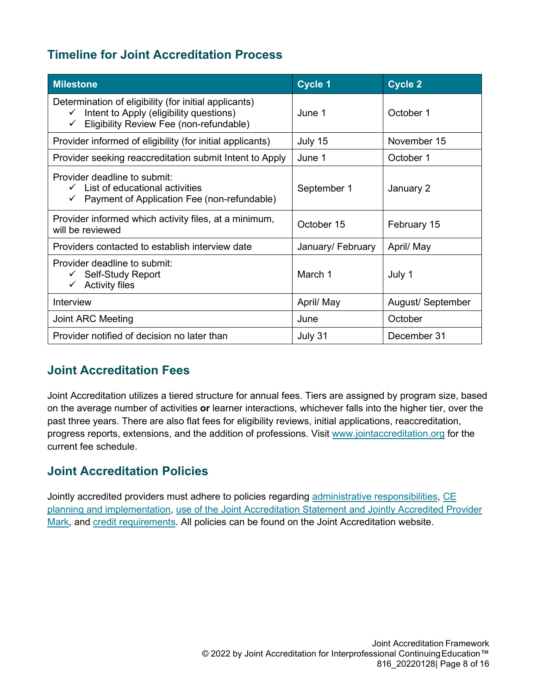#### <span id="page-7-0"></span>**Timeline for Joint Accreditation Process**

| <b>Milestone</b>                                                                                                                                                            | <b>Cycle 1</b>    | <b>Cycle 2</b>    |
|-----------------------------------------------------------------------------------------------------------------------------------------------------------------------------|-------------------|-------------------|
| Determination of eligibility (for initial applicants)<br>Intent to Apply (eligibility questions)<br>$\checkmark$<br>Eligibility Review Fee (non-refundable)<br>$\checkmark$ | June 1            | October 1         |
| Provider informed of eligibility (for initial applicants)                                                                                                                   | July 15           | November 15       |
| Provider seeking reaccreditation submit Intent to Apply                                                                                                                     | June 1            | October 1         |
| Provider deadline to submit:<br>$\checkmark$ List of educational activities<br>$\checkmark$ Payment of Application Fee (non-refundable)                                     | September 1       | January 2         |
| Provider informed which activity files, at a minimum,<br>will be reviewed                                                                                                   | October 15        | February 15       |
| Providers contacted to establish interview date                                                                                                                             | January/ February | April/ May        |
| Provider deadline to submit:<br>$\checkmark$ Self-Study Report<br>$\checkmark$ Activity files                                                                               | March 1           | July 1            |
| Interview                                                                                                                                                                   | April/ May        | August/ September |
| Joint ARC Meeting                                                                                                                                                           | June              | October           |
| Provider notified of decision no later than                                                                                                                                 | July 31           | December 31       |

#### <span id="page-7-1"></span>**Joint Accreditation Fees**

Joint Accreditation utilizes a tiered structure for annual fees. Tiers are assigned by program size, based on the average number of activities **or** learner interactions, whichever falls into the higher tier, over the past three years. There are also flat fees for eligibility reviews, initial applications, reaccreditation, progress reports, extensions, and the addition of professions. Visit [www.jointaccreditation.org](http://www.jointaccreditation.org/) for the current fee schedule.

#### <span id="page-7-2"></span>**Joint Accreditation Policies**

Jointly accredited providers must adhere to policies regarding [administrative responsibilities,](https://www.jointaccreditation.org/administrative-responsibilities) [CE](https://www.jointaccreditation.org/ce-planning-implementation) [planning and implementation,](https://www.jointaccreditation.org/ce-planning-implementation) [use of the Joint Accreditation Statement and Jointly Accredited Provider](https://www.jointaccreditation.org/accreditation-statement-logos) [Mark,](https://www.jointaccreditation.org/accreditation-statement-logos) and [credit requirements.](https://www.jointaccreditation.org/credit-requirements-logos) All policies can be found on the Joint Accreditation website.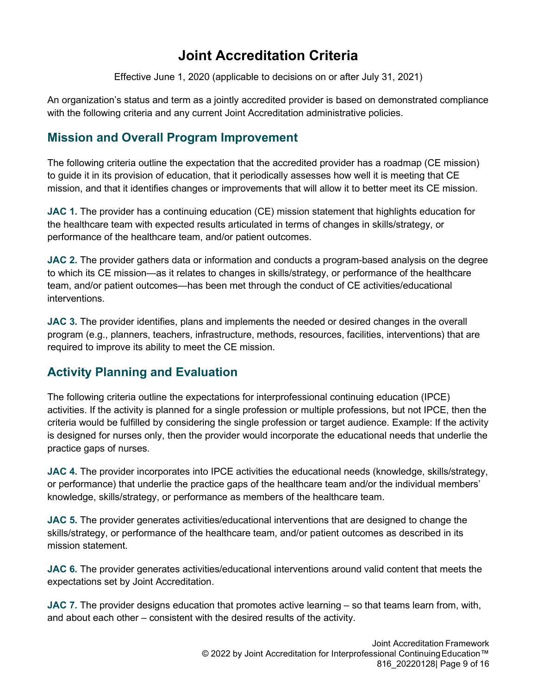## **Joint Accreditation Criteria**

Effective June 1, 2020 (applicable to decisions on or after July 31, 2021)

<span id="page-8-0"></span>An organization's status and term as a jointly accredited provider is based on demonstrated compliance with the following criteria and any current Joint Accreditation administrative policies.

#### <span id="page-8-1"></span>**Mission and Overall Program Improvement**

The following criteria outline the expectation that the accredited provider has a roadmap (CE mission) to guide it in its provision of education, that it periodically assesses how well it is meeting that CE mission, and that it identifies changes or improvements that will allow it to better meet its CE mission.

**JAC 1.** The provider has a continuing education (CE) mission statement that highlights education for the healthcare team with expected results articulated in terms of changes in skills/strategy, or performance of the healthcare team, and/or patient outcomes.

**JAC 2.** The provider gathers data or information and conducts a program-based analysis on the degree to which its CE mission—as it relates to changes in skills/strategy, or performance of the healthcare team, and/or patient outcomes—has been met through the conduct of CE activities/educational interventions.

**JAC 3.** The provider identifies, plans and implements the needed or desired changes in the overall program (e.g., planners, teachers, infrastructure, methods, resources, facilities, interventions) that are required to improve its ability to meet the CE mission.

#### <span id="page-8-2"></span>**Activity Planning and Evaluation**

The following criteria outline the expectations for interprofessional continuing education (IPCE) activities. If the activity is planned for a single profession or multiple professions, but not IPCE, then the criteria would be fulfilled by considering the single profession or target audience. Example: If the activity is designed for nurses only, then the provider would incorporate the educational needs that underlie the practice gaps of nurses.

**JAC 4.** The provider incorporates into IPCE activities the educational needs (knowledge, skills/strategy, or performance) that underlie the practice gaps of the healthcare team and/or the individual members' knowledge, skills/strategy, or performance as members of the healthcare team.

**JAC 5.** The provider generates activities/educational interventions that are designed to change the skills/strategy, or performance of the healthcare team, and/or patient outcomes as described in its mission statement.

**JAC 6.** The provider generates activities/educational interventions around valid content that meets the expectations set by Joint Accreditation.

**JAC 7.** The provider designs education that promotes active learning – so that teams learn from, with, and about each other – consistent with the desired results of the activity.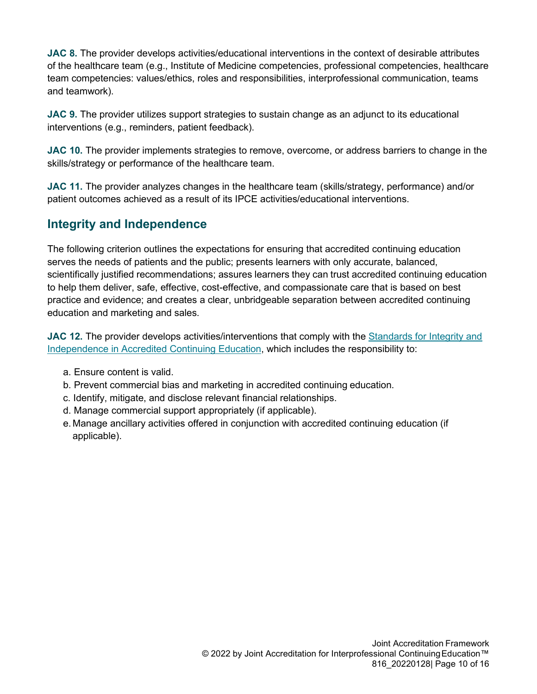**JAC 8.** The provider develops activities/educational interventions in the context of desirable attributes of the healthcare team (e.g., Institute of Medicine competencies, professional competencies, healthcare team competencies: values/ethics, roles and responsibilities, interprofessional communication, teams and teamwork).

**JAC 9.** The provider utilizes support strategies to sustain change as an adjunct to its educational interventions (e.g., reminders, patient feedback).

**JAC 10.** The provider implements strategies to remove, overcome, or address barriers to change in the skills/strategy or performance of the healthcare team.

**JAC 11.** The provider analyzes changes in the healthcare team (skills/strategy, performance) and/or patient outcomes achieved as a result of its IPCE activities/educational interventions.

#### <span id="page-9-0"></span>**Integrity and Independence**

The following criterion outlines the expectations for ensuring that accredited continuing education serves the needs of patients and the public; presents learners with only accurate, balanced, scientifically justified recommendations; assures learners they can trust accredited continuing education to help them deliver, safe, effective, cost-effective, and compassionate care that is based on best practice and evidence; and creates a clear, unbridgeable separation between accredited continuing education and marketing and sales.

**JAC 12.** The provider develops activities/interventions that comply with the [Standards for Integrity and](https://accme.org/accreditation-rules/standards-for-integrity-independence-accredited-ce) [Independence in Accredited Continuing Education,](https://accme.org/accreditation-rules/standards-for-integrity-independence-accredited-ce) which includes the responsibility to:

- a. Ensure content is valid.
- b. Prevent commercial bias and marketing in accredited continuing education.
- c. Identify, mitigate, and disclose relevant financial relationships.
- d. Manage commercial support appropriately (if applicable).
- e. Manage ancillary activities offered in conjunction with accredited continuing education (if applicable).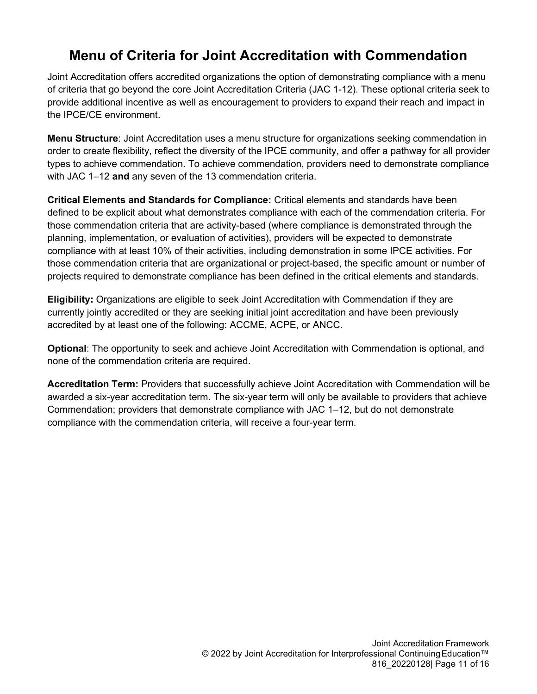<span id="page-10-0"></span>Joint Accreditation offers accredited organizations the option of demonstrating compliance with a menu of criteria that go beyond the core Joint Accreditation Criteria (JAC 1-12). These optional criteria seek to provide additional incentive as well as encouragement to providers to expand their reach and impact in the IPCE/CE environment.

**Menu Structure**: Joint Accreditation uses a menu structure for organizations seeking commendation in order to create flexibility, reflect the diversity of the IPCE community, and offer a pathway for all provider types to achieve commendation. To achieve commendation, providers need to demonstrate compliance with JAC 1–12 **and** any seven of the 13 commendation criteria.

**Critical Elements and Standards for Compliance:** Critical elements and standards have been defined to be explicit about what demonstrates compliance with each of the commendation criteria. For those commendation criteria that are activity-based (where compliance is demonstrated through the planning, implementation, or evaluation of activities), providers will be expected to demonstrate compliance with at least 10% of their activities, including demonstration in some IPCE activities. For those commendation criteria that are organizational or project-based, the specific amount or number of projects required to demonstrate compliance has been defined in the critical elements and standards.

**Eligibility:** Organizations are eligible to seek Joint Accreditation with Commendation if they are currently jointly accredited or they are seeking initial joint accreditation and have been previously accredited by at least one of the following: ACCME, ACPE, or ANCC.

**Optional**: The opportunity to seek and achieve Joint Accreditation with Commendation is optional, and none of the commendation criteria are required.

**Accreditation Term:** Providers that successfully achieve Joint Accreditation with Commendation will be awarded a six-year accreditation term. The six-year term will only be available to providers that achieve Commendation; providers that demonstrate compliance with JAC 1–12, but do not demonstrate compliance with the commendation criteria, will receive a four-year term.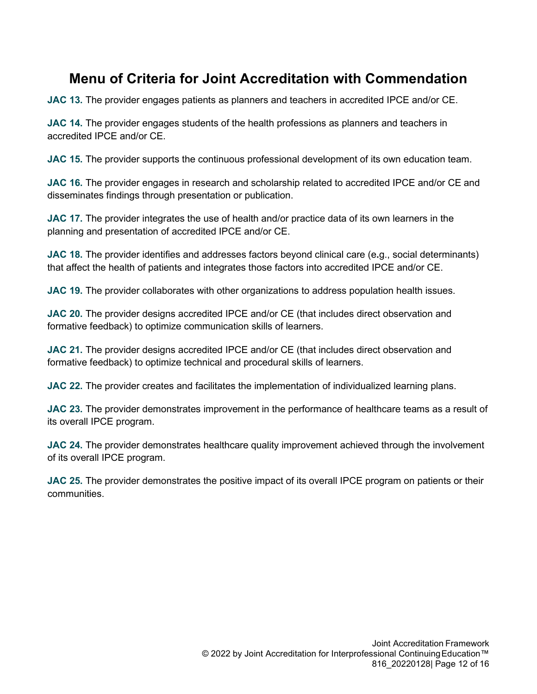**JAC 13.** The provider engages patients as planners and teachers in accredited IPCE and/or CE.

**JAC 14.** The provider engages students of the health professions as planners and teachers in accredited IPCE and/or CE.

**JAC 15.** The provider supports the continuous professional development of its own education team.

**JAC 16.** The provider engages in research and scholarship related to accredited IPCE and/or CE and disseminates findings through presentation or publication.

**JAC 17.** The provider integrates the use of health and/or practice data of its own learners in the planning and presentation of accredited IPCE and/or CE.

**JAC 18.** The provider identifies and addresses factors beyond clinical care (e**.**g., social determinants) that affect the health of patients and integrates those factors into accredited IPCE and/or CE.

**JAC 19.** The provider collaborates with other organizations to address population health issues.

**JAC 20.** The provider designs accredited IPCE and/or CE (that includes direct observation and formative feedback) to optimize communication skills of learners.

**JAC 21.** The provider designs accredited IPCE and/or CE (that includes direct observation and formative feedback) to optimize technical and procedural skills of learners.

**JAC 22.** The provider creates and facilitates the implementation of individualized learning plans.

**JAC 23.** The provider demonstrates improvement in the performance of healthcare teams as a result of its overall IPCE program.

**JAC 24.** The provider demonstrates healthcare quality improvement achieved through the involvement of its overall IPCE program.

**JAC 25.** The provider demonstrates the positive impact of its overall IPCE program on patients or their communities.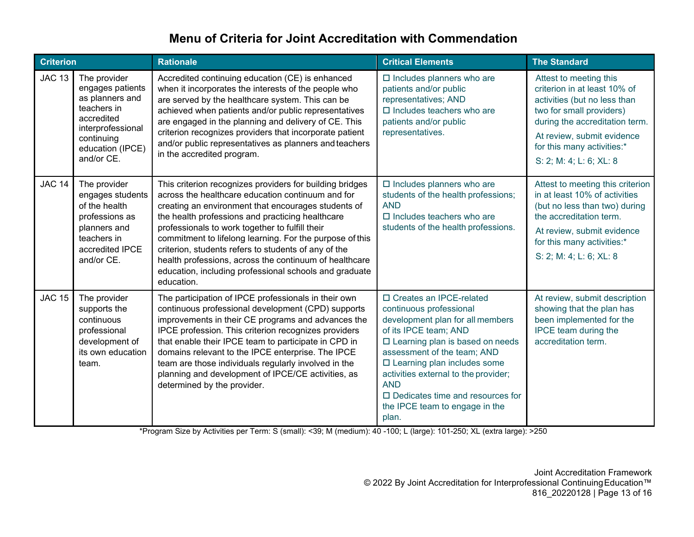<span id="page-12-0"></span>

| <b>Criterion</b> |                                                                                                                                                       | <b>Rationale</b>                                                                                                                                                                                                                                                                                                                                                                                                                                                                                                                  | <b>Critical Elements</b>                                                                                                                                                                                                                                                                                                                                                      | <b>The Standard</b>                                                                                                                                                                                                                         |
|------------------|-------------------------------------------------------------------------------------------------------------------------------------------------------|-----------------------------------------------------------------------------------------------------------------------------------------------------------------------------------------------------------------------------------------------------------------------------------------------------------------------------------------------------------------------------------------------------------------------------------------------------------------------------------------------------------------------------------|-------------------------------------------------------------------------------------------------------------------------------------------------------------------------------------------------------------------------------------------------------------------------------------------------------------------------------------------------------------------------------|---------------------------------------------------------------------------------------------------------------------------------------------------------------------------------------------------------------------------------------------|
| <b>JAC 13</b>    | The provider<br>engages patients<br>as planners and<br>teachers in<br>accredited<br>interprofessional<br>continuing<br>education (IPCE)<br>and/or CE. | Accredited continuing education (CE) is enhanced<br>when it incorporates the interests of the people who<br>are served by the healthcare system. This can be<br>achieved when patients and/or public representatives<br>are engaged in the planning and delivery of CE. This<br>criterion recognizes providers that incorporate patient<br>and/or public representatives as planners and teachers<br>in the accredited program.                                                                                                   | $\square$ Includes planners who are<br>patients and/or public<br>representatives; AND<br>$\square$ Includes teachers who are<br>patients and/or public<br>representatives.                                                                                                                                                                                                    | Attest to meeting this<br>criterion in at least 10% of<br>activities (but no less than<br>two for small providers)<br>during the accreditation term.<br>At review, submit evidence<br>for this many activities:*<br>S: 2; M: 4; L: 6; XL: 8 |
| <b>JAC 14</b>    | The provider<br>engages students<br>of the health<br>professions as<br>planners and<br>teachers in<br>accredited IPCE<br>and/or CE.                   | This criterion recognizes providers for building bridges<br>across the healthcare education continuum and for<br>creating an environment that encourages students of<br>the health professions and practicing healthcare<br>professionals to work together to fulfill their<br>commitment to lifelong learning. For the purpose of this<br>criterion, students refers to students of any of the<br>health professions, across the continuum of healthcare<br>education, including professional schools and graduate<br>education. | $\square$ Includes planners who are<br>students of the health professions;<br><b>AND</b><br>$\Box$ Includes teachers who are<br>students of the health professions.                                                                                                                                                                                                           | Attest to meeting this criterion<br>in at least 10% of activities<br>(but no less than two) during<br>the accreditation term.<br>At review, submit evidence<br>for this many activities:*<br>S: 2; M: 4; L: 6; XL: 8                        |
| <b>JAC 15</b>    | The provider<br>supports the<br>continuous<br>professional<br>development of<br>its own education<br>team.                                            | The participation of IPCE professionals in their own<br>continuous professional development (CPD) supports<br>improvements in their CE programs and advances the<br>IPCE profession. This criterion recognizes providers<br>that enable their IPCE team to participate in CPD in<br>domains relevant to the IPCE enterprise. The IPCE<br>team are those individuals regularly involved in the<br>planning and development of IPCE/CE activities, as<br>determined by the provider.                                                | □ Creates an IPCE-related<br>continuous professional<br>development plan for all members<br>of its IPCE team; AND<br>$\square$ Learning plan is based on needs<br>assessment of the team; AND<br>□ Learning plan includes some<br>activities external to the provider;<br><b>AND</b><br>$\square$ Dedicates time and resources for<br>the IPCE team to engage in the<br>plan. | At review, submit description<br>showing that the plan has<br>been implemented for the<br>IPCE team during the<br>accreditation term.                                                                                                       |

\*Program Size by Activities per Term: S (small): <39; M (medium): 40 -100; L (large): 101-250; XL (extra large): >250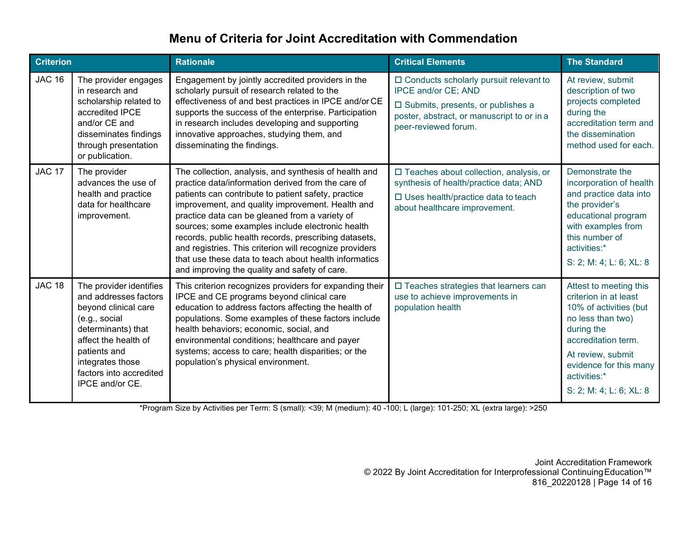| <b>Criterion</b> |                                                                                                                                                                                                                           | <b>Rationale</b>                                                                                                                                                                                                                                                                                                                                                                                                                                                                                                                                           | <b>Critical Elements</b>                                                                                                                                                          | <b>The Standard</b>                                                                                                                                                                                                           |
|------------------|---------------------------------------------------------------------------------------------------------------------------------------------------------------------------------------------------------------------------|------------------------------------------------------------------------------------------------------------------------------------------------------------------------------------------------------------------------------------------------------------------------------------------------------------------------------------------------------------------------------------------------------------------------------------------------------------------------------------------------------------------------------------------------------------|-----------------------------------------------------------------------------------------------------------------------------------------------------------------------------------|-------------------------------------------------------------------------------------------------------------------------------------------------------------------------------------------------------------------------------|
| <b>JAC 16</b>    | The provider engages<br>in research and<br>scholarship related to<br>accredited IPCE<br>and/or CE and<br>disseminates findings<br>through presentation<br>or publication.                                                 | Engagement by jointly accredited providers in the<br>scholarly pursuit of research related to the<br>effectiveness of and best practices in IPCE and/or CE<br>supports the success of the enterprise. Participation<br>in research includes developing and supporting<br>innovative approaches, studying them, and<br>disseminating the findings.                                                                                                                                                                                                          | $\Box$ Conducts scholarly pursuit relevant to<br>IPCE and/or CE; AND<br>□ Submits, presents, or publishes a<br>poster, abstract, or manuscript to or in a<br>peer-reviewed forum. | At review, submit<br>description of two<br>projects completed<br>during the<br>accreditation term and<br>the dissemination<br>method used for each.                                                                           |
| <b>JAC 17</b>    | The provider<br>advances the use of<br>health and practice<br>data for healthcare<br>improvement.                                                                                                                         | The collection, analysis, and synthesis of health and<br>practice data/information derived from the care of<br>patients can contribute to patient safety, practice<br>improvement, and quality improvement. Health and<br>practice data can be gleaned from a variety of<br>sources; some examples include electronic health<br>records, public health records, prescribing datasets,<br>and registries. This criterion will recognize providers<br>that use these data to teach about health informatics<br>and improving the quality and safety of care. | $\Box$ Teaches about collection, analysis, or<br>synthesis of health/practice data; AND<br>$\square$ Uses health/practice data to teach<br>about healthcare improvement.          | Demonstrate the<br>incorporation of health<br>and practice data into<br>the provider's<br>educational program<br>with examples from<br>this number of<br>activities:*<br>S: 2; M: 4; L: 6; XL: 8                              |
| <b>JAC 18</b>    | The provider identifies<br>and addresses factors<br>beyond clinical care<br>(e.g., social<br>determinants) that<br>affect the health of<br>patients and<br>integrates those<br>factors into accredited<br>IPCE and/or CE. | This criterion recognizes providers for expanding their<br>IPCE and CE programs beyond clinical care<br>education to address factors affecting the health of<br>populations. Some examples of these factors include<br>health behaviors; economic, social, and<br>environmental conditions; healthcare and payer<br>systems; access to care; health disparities; or the<br>population's physical environment.                                                                                                                                              | □ Teaches strategies that learners can<br>use to achieve improvements in<br>population health                                                                                     | Attest to meeting this<br>criterion in at least<br>10% of activities (but<br>no less than two)<br>during the<br>accreditation term.<br>At review, submit<br>evidence for this many<br>activities:*<br>S: 2; M: 4; L: 6; XL: 8 |

\*Program Size by Activities per Term: S (small): <39; M (medium): 40 -100; L (large): 101-250; XL (extra large): >250

Joint Accreditation Framework © 2022 By Joint Accreditation for Interprofessional ContinuingEducation™ 816\_20220128 | Page 14 of 16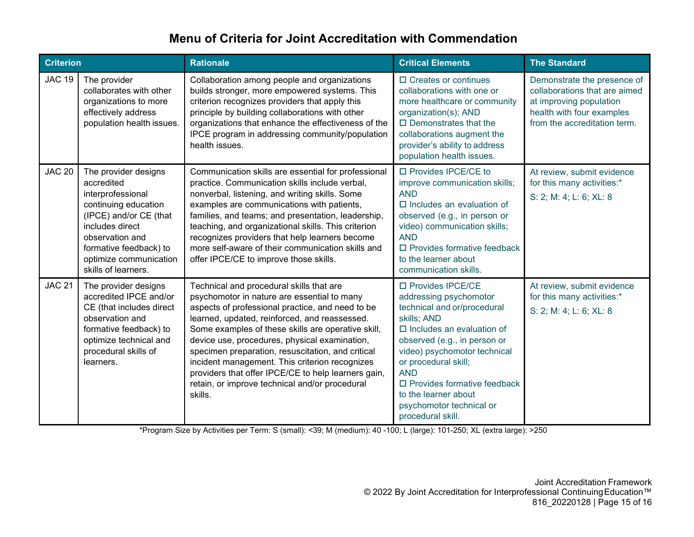| <b>Criterion</b> |                                                                                                                                                                                                                            | <b>Rationale</b>                                                                                                                                                                                                                                                                                                                                                                                                                                                                                                               | <b>Critical Elements</b>                                                                                                                                                                                                                                                                                                                            | <b>The Standard</b>                                                                                                                                  |
|------------------|----------------------------------------------------------------------------------------------------------------------------------------------------------------------------------------------------------------------------|--------------------------------------------------------------------------------------------------------------------------------------------------------------------------------------------------------------------------------------------------------------------------------------------------------------------------------------------------------------------------------------------------------------------------------------------------------------------------------------------------------------------------------|-----------------------------------------------------------------------------------------------------------------------------------------------------------------------------------------------------------------------------------------------------------------------------------------------------------------------------------------------------|------------------------------------------------------------------------------------------------------------------------------------------------------|
| <b>JAC 19</b>    | The provider<br>collaborates with other<br>organizations to more<br>effectively address<br>population health issues.                                                                                                       | Collaboration among people and organizations<br>builds stronger, more empowered systems. This<br>criterion recognizes providers that apply this<br>principle by building collaborations with other<br>organizations that enhance the effectiveness of the<br>IPCE program in addressing community/population<br>health issues.                                                                                                                                                                                                 | □ Creates or continues<br>collaborations with one or<br>more healthcare or community<br>organization(s); AND<br>$\Box$ Demonstrates that the<br>collaborations augment the<br>provider's ability to address<br>population health issues.                                                                                                            | Demonstrate the presence of<br>collaborations that are aimed<br>at improving population<br>health with four examples<br>from the accreditation term. |
| <b>JAC 20</b>    | The provider designs<br>accredited<br>interprofessional<br>continuing education<br>(IPCE) and/or CE (that<br>includes direct<br>observation and<br>formative feedback) to<br>optimize communication<br>skills of learners. | Communication skills are essential for professional<br>practice. Communication skills include verbal,<br>nonverbal, listening, and writing skills. Some<br>examples are communications with patients,<br>families, and teams; and presentation, leadership,<br>teaching, and organizational skills. This criterion<br>recognizes providers that help learners become<br>more self-aware of their communication skills and<br>offer IPCE/CE to improve those skills.                                                            | □ Provides IPCE/CE to<br>improve communication skills;<br><b>AND</b><br>$\Box$ Includes an evaluation of<br>observed (e.g., in person or<br>video) communication skills;<br><b>AND</b><br>$\Box$ Provides formative feedback<br>to the learner about<br>communication skills.                                                                       | At review, submit evidence<br>for this many activities:*<br>S: 2; M: 4; L: 6; XL: 8                                                                  |
| <b>JAC 21</b>    | The provider designs<br>accredited IPCE and/or<br>CE (that includes direct<br>observation and<br>formative feedback) to<br>optimize technical and<br>procedural skills of<br>learners.                                     | Technical and procedural skills that are<br>psychomotor in nature are essential to many<br>aspects of professional practice, and need to be<br>learned, updated, reinforced, and reassessed.<br>Some examples of these skills are operative skill,<br>device use, procedures, physical examination,<br>specimen preparation, resuscitation, and critical<br>incident management. This criterion recognizes<br>providers that offer IPCE/CE to help learners gain,<br>retain, or improve technical and/or procedural<br>skills. | □ Provides IPCE/CE<br>addressing psychomotor<br>technical and or/procedural<br>skills; AND<br>$\Box$ Includes an evaluation of<br>observed (e.g., in person or<br>video) psychomotor technical<br>or procedural skill;<br><b>AND</b><br>$\Box$ Provides formative feedback<br>to the learner about<br>psychomotor technical or<br>procedural skill. | At review, submit evidence<br>for this many activities:*<br>S: 2; M: 4; L: 6; XL: 8                                                                  |

\*Program Size by Activities per Term: S (small): <39; M (medium): 40 -100; L (large): 101-250; XL (extra large): >250